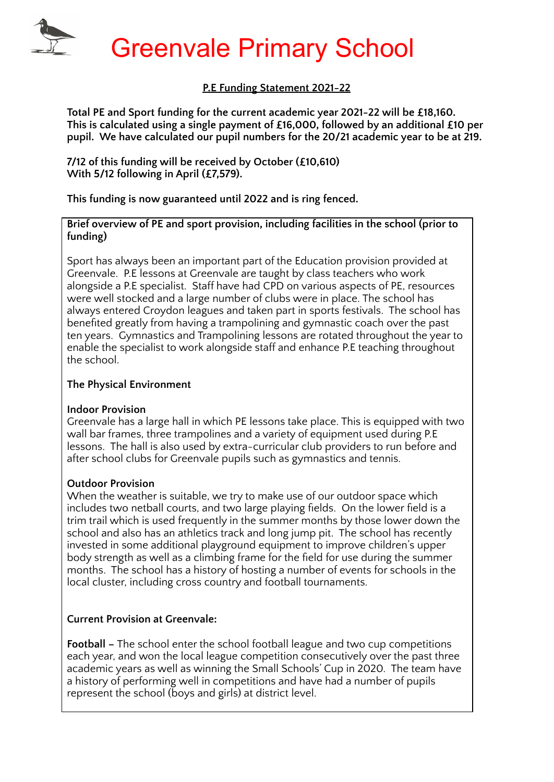## **P.E Funding Statement 2021-22**

**Total PE and Sport funding for the current academic year 2021-22 will be £18,160. This is calculated using a single payment of £16,000, followed by an additional £10 per pupil. We have calculated our pupil numbers for the 20/21 academic year to be at 219.**

**7/12 of this funding will be received by October (£10,610) With 5/12 following in April (£7,579).**

**This funding is now guaranteed until 2022 and is ring fenced.**

**Brief overview of PE and sport provision, including facilities in the school (prior to funding)**

Sport has always been an important part of the Education provision provided at Greenvale. P.E lessons at Greenvale are taught by class teachers who work alongside a P.E specialist. Staff have had CPD on various aspects of PE, resources were well stocked and a large number of clubs were in place. The school has always entered Croydon leagues and taken part in sports festivals. The school has benefited greatly from having a trampolining and gymnastic coach over the past ten years. Gymnastics and Trampolining lessons are rotated throughout the year to enable the specialist to work alongside staff and enhance P.E teaching throughout the school.

### **The Physical Environment**

### **Indoor Provision**

Greenvale has a large hall in which PE lessons take place. This is equipped with two wall bar frames, three trampolines and a variety of equipment used during P.E lessons. The hall is also used by extra-curricular club providers to run before and after school clubs for Greenvale pupils such as gymnastics and tennis.

## **Outdoor Provision**

When the weather is suitable, we try to make use of our outdoor space which includes two netball courts, and two large playing fields. On the lower field is a trim trail which is used frequently in the summer months by those lower down the school and also has an athletics track and long jump pit. The school has recently invested in some additional playground equipment to improve children's upper body strength as well as a climbing frame for the field for use during the summer months. The school has a history of hosting a number of events for schools in the local cluster, including cross country and football tournaments.

## **Current Provision at Greenvale:**

**Football –** The school enter the school football league and two cup competitions each year, and won the local league competition consecutively over the past three academic years as well as winning the Small Schools' Cup in 2020. The team have a history of performing well in competitions and have had a number of pupils represent the school (boys and girls) at district level.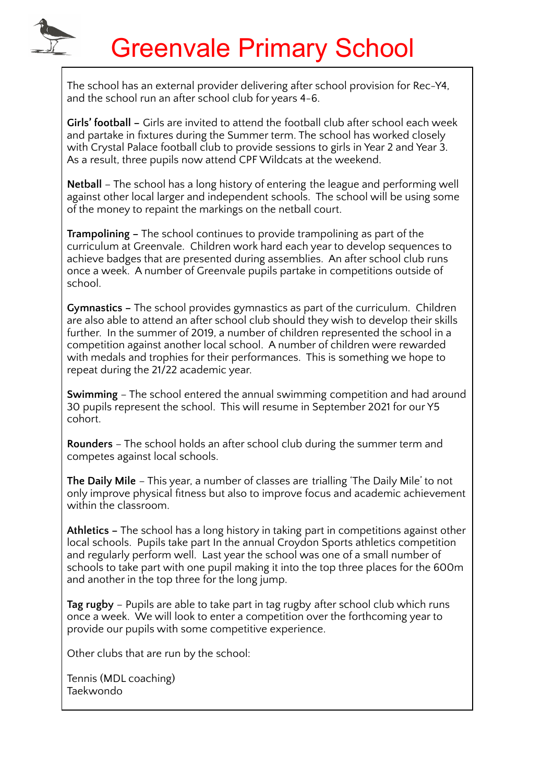The school has an external provider delivering after school provision for Rec-Y4, and the school run an after school club for years 4-6.

**Girls' football –** Girls are invited to attend the football club after school each week and partake in fixtures during the Summer term. The school has worked closely with Crystal Palace football club to provide sessions to girls in Year 2 and Year 3. As a result, three pupils now attend CPF Wildcats at the weekend.

**Netball** – The school has a long history of entering the league and performing well against other local larger and independent schools. The school will be using some of the money to repaint the markings on the netball court.

**Trampolining –** The school continues to provide trampolining as part of the curriculum at Greenvale. Children work hard each year to develop sequences to achieve badges that are presented during assemblies. An after school club runs once a week. A number of Greenvale pupils partake in competitions outside of school.

**Gymnastics –** The school provides gymnastics as part of the curriculum. Children are also able to attend an after school club should they wish to develop their skills further. In the summer of 2019, a number of children represented the school in a competition against another local school. A number of children were rewarded with medals and trophies for their performances. This is something we hope to repeat during the 21/22 academic year.

**Swimming** – The school entered the annual swimming competition and had around 30 pupils represent the school. This will resume in September 2021 for our Y5 cohort.

**Rounders** – The school holds an after school club during the summer term and competes against local schools.

**The Daily Mile** – This year, a number of classes are trialling 'The Daily Mile' to not only improve physical fitness but also to improve focus and academic achievement within the classroom.

**Athletics –** The school has a long history in taking part in competitions against other local schools. Pupils take part In the annual Croydon Sports athletics competition and regularly perform well. Last year the school was one of a small number of schools to take part with one pupil making it into the top three places for the 600m and another in the top three for the long jump.

**Tag rugby** – Pupils are able to take part in tag rugby after school club which runs once a week. We will look to enter a competition over the forthcoming year to provide our pupils with some competitive experience.

Other clubs that are run by the school:

Tennis (MDL coaching) Taekwondo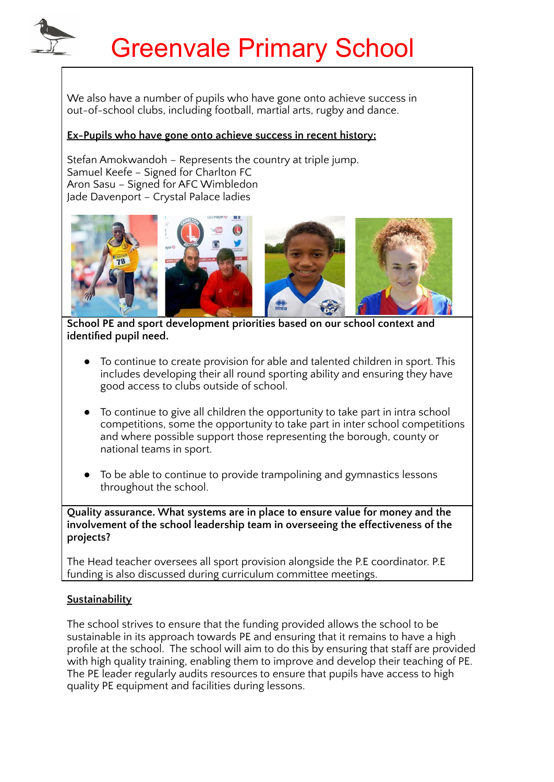We also have a number of pupils who have gone onto achieve success in out-of-school clubs, including football, martial arts, rugby and dance.

### **Ex-Pupils who have gone onto achieve success in recent history:**

Stefan Amokwandoh – Represents the country at triple jump. Samuel Keefe – Signed for Charlton FC Aron Sasu – Signed for AFC Wimbledon Jade Davenport – Crystal Palace ladies



**School PE and sport development priorities based on our school context and identified pupil need.**

- To continue to create provision for able and talented children in sport. This includes developing their all round sporting ability and ensuring they have good access to clubs outside of school.
- To continue to give all children the opportunity to take part in intra school competitions, some the opportunity to take part in inter school competitions and where possible support those representing the borough, county or national teams in sport.
- To be able to continue to provide trampolining and gymnastics lessons throughout the school.

**Quality assurance. What systems are in place to ensure value for money and the involvement of the school leadership team in overseeing the effectiveness of the projects?**

The Head teacher oversees all sport provision alongside the P.E coordinator. P.E funding is also discussed during curriculum committee meetings.

### **Sustainability**

The school strives to ensure that the funding provided allows the school to be sustainable in its approach towards PE and ensuring that it remains to have a high profile at the school. The school will aim to do this by ensuring that staff are provided with high quality training, enabling them to improve and develop their teaching of PE. The PE leader regularly audits resources to ensure that pupils have access to high quality PE equipment and facilities during lessons.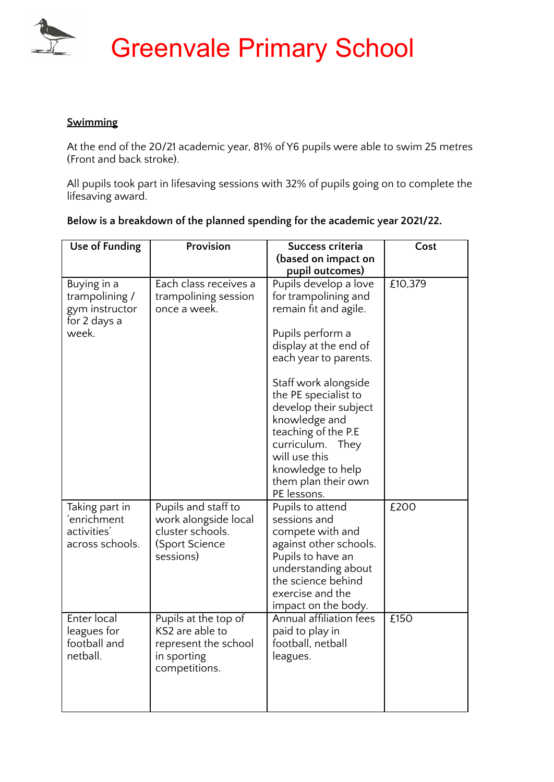

### **Swimming**

At the end of the 20/21 academic year, 81% of Y6 pupils were able to swim 25 metres (Front and back stroke).

All pupils took part in lifesaving sessions with 32% of pupils going on to complete the lifesaving award.

| <b>Use of Funding</b>                                                    | Provision                                                                                       | Success criteria<br>(based on impact on                                                                                                                                                                                                                                                                                                                          | Cost    |
|--------------------------------------------------------------------------|-------------------------------------------------------------------------------------------------|------------------------------------------------------------------------------------------------------------------------------------------------------------------------------------------------------------------------------------------------------------------------------------------------------------------------------------------------------------------|---------|
|                                                                          |                                                                                                 | pupil outcomes)                                                                                                                                                                                                                                                                                                                                                  |         |
| Buying in a<br>trampolining /<br>gym instructor<br>for 2 days a<br>week. | Each class receives a<br>trampolining session<br>once a week.                                   | Pupils develop a love<br>for trampolining and<br>remain fit and agile.<br>Pupils perform a<br>display at the end of<br>each year to parents.<br>Staff work alongside<br>the PE specialist to<br>develop their subject<br>knowledge and<br>teaching of the P.E<br>curriculum.<br>They<br>will use this<br>knowledge to help<br>them plan their own<br>PE lessons. | £10,379 |
| Taking part in<br>ʻenrichment<br>activities'<br>across schools.          | Pupils and staff to<br>work alongside local<br>cluster schools.<br>(Sport Science<br>sessions)  | Pupils to attend<br>sessions and<br>compete with and<br>against other schools.<br>Pupils to have an<br>understanding about<br>the science behind<br>exercise and the<br>impact on the body.                                                                                                                                                                      | £200    |
| Enter local<br>leagues for<br>football and<br>netball.                   | Pupils at the top of<br>KS2 are able to<br>represent the school<br>in sporting<br>competitions. | <b>Annual affiliation fees</b><br>paid to play in<br>football, netball<br>leagues.                                                                                                                                                                                                                                                                               | £150    |

**Below is a breakdown of the planned spending for the academic year 2021/22.**